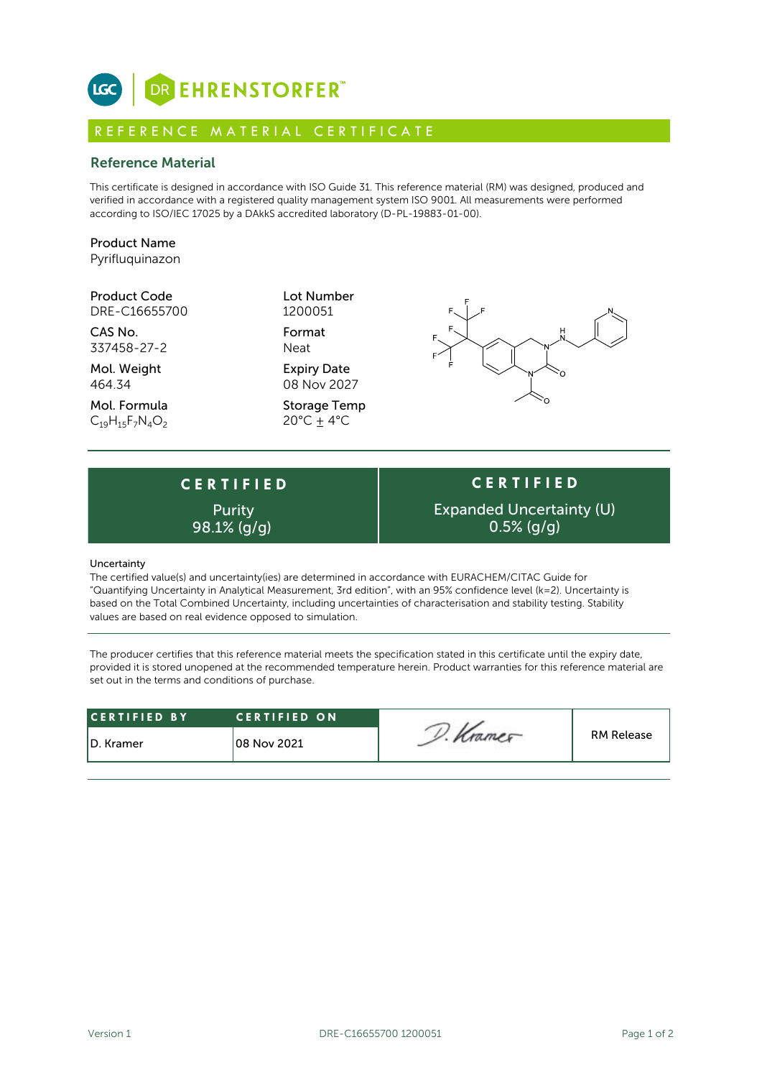

# R E F E R E N C E M A T E R I A L C E R T I F I C A T E

## Reference Material

This certificate is designed in accordance with ISO Guide 31. This reference material (RM) was designed, produced and verified in accordance with a registered quality management system ISO 9001. All measurements were performed according to ISO/IEC 17025 by a DAkkS accredited laboratory (D-PL-19883-01-00).

## Product Name Pyrifluquinazon

### Product Code Lot Number DRE-C16655700

CAS No. Format 337458-27-2 Neat

Mol. Weight **Expiry Date** 464.34 08 Nov 2027

Mol. Formula Storage Temp  $C_{19}H_{15}F_7N_4O_2$  20°C  $\pm$  4°C

1200051



# **C E R T I F I E D** Purity

**C E R T I F I E D** Expanded Uncertainty (U) 98.1%  $(q/q)$  0.5%  $(q/q)$ 

#### Uncertainty

The certified value(s) and uncertainty(ies) are determined in accordance with EURACHEM/CITAC Guide for "Quantifying Uncertainty in Analytical Measurement, 3rd edition", with an 95% confidence level (k=2). Uncertainty is based on the Total Combined Uncertainty, including uncertainties of characterisation and stability testing. Stability values are based on real evidence opposed to simulation.

The producer certifies that this reference material meets the specification stated in this certificate until the expiry date, provided it is stored unopened at the recommended temperature herein. Product warranties for this reference material are set out in the terms and conditions of purchase.

| <b>RM Release</b><br>108 Nov 2021<br>ID. Kramer | <b>CERTIFIED BY</b> | <b>CERTIFIED ON</b> |  |  |
|-------------------------------------------------|---------------------|---------------------|--|--|
|                                                 |                     |                     |  |  |